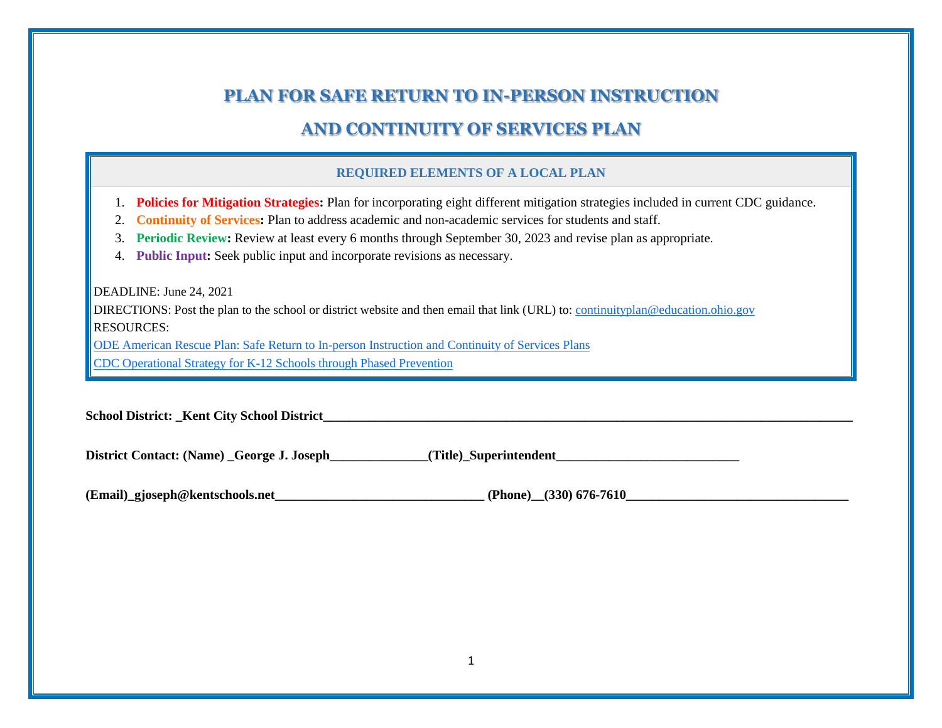### **PLAN FOR SAFE RETURN TO IN-PERSON INSTRUCTION**

# **AND CONTINUITY OF SERVICES PLAN**

#### **REQUIRED ELEMENTS OF A LOCAL PLAN**

- 1. **Policies for Mitigation Strategies:** Plan for incorporating eight different mitigation strategies included in current CDC guidance.
- 2. **Continuity of Services:** Plan to address academic and non-academic services for students and staff.
- 3. **Periodic Review:** Review at least every 6 months through September 30, 2023 and revise plan as appropriate.
- 4. **Public Input:** Seek public input and incorporate revisions as necessary.

DEADLINE: June 24, 2021

DIRECTIONS: Post the plan to the school or district website and then email that link (URL) to: [continuityplan@education.ohio.gov](mailto:continuityplan@education.ohio.gov) RESOURCES:

[ODE American Rescue Plan: Safe Return to In-person Instruction and Continuity of Services Plans](http://education.ohio.gov/Topics/Reset-and-Restart/American-Rescue-Plan-Safe-Return-to-In-person-Ins)

[CDC Operational Strategy for K-12 Schools through Phased Prevention](https://www.cdc.gov/coronavirus/2019-ncov/community/schools-childcare/operation-strategy.html#anchor_1616080084165)

**School District: \_Kent City School District\_\_\_\_\_\_\_\_\_\_\_\_\_\_\_\_\_\_\_\_\_\_\_\_\_\_\_\_\_\_\_\_\_\_\_\_\_\_\_\_\_\_\_\_\_\_\_\_\_\_\_\_\_\_\_\_\_\_\_\_\_\_\_\_\_\_\_\_\_\_\_\_\_\_\_\_\_\_\_\_\_**

District Contact: (Name) George J. Joseph (Title) Superintendent

(Email) gjoseph@kentschools.net (Phone) (330) 676-7610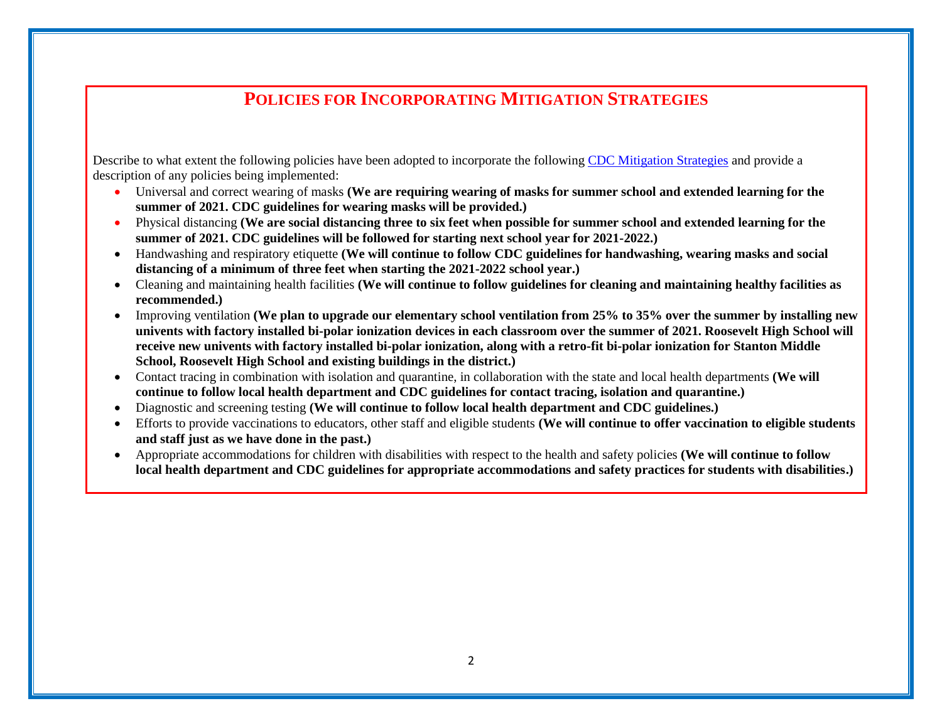### **POLICIES FOR INCORPORATING MITIGATION STRATEGIES**

Describe to what extent the following policies have been adopted to incorporate the following [CDC Mitigation Strategies](https://www.cdc.gov/coronavirus/2019-ncov/community/schools-childcare/operation-strategy.html#anchor_1616080084165) and provide a description of any policies being implemented:

- Universal and correct wearing of masks **(We are requiring wearing of masks for summer school and extended learning for the summer of 2021. CDC guidelines for wearing masks will be provided.)**
- Physical distancing **(We are social distancing three to six feet when possible for summer school and extended learning for the summer of 2021. CDC guidelines will be followed for starting next school year for 2021-2022.)**
- Handwashing and respiratory etiquette **(We will continue to follow CDC guidelines for handwashing, wearing masks and social distancing of a minimum of three feet when starting the 2021-2022 school year.)**
- Cleaning and maintaining health facilities **(We will continue to follow guidelines for cleaning and maintaining healthy facilities as recommended.)**
- Improving ventilation **(We plan to upgrade our elementary school ventilation from 25% to 35% over the summer by installing new univents with factory installed bi-polar ionization devices in each classroom over the summer of 2021. Roosevelt High School will receive new univents with factory installed bi-polar ionization, along with a retro-fit bi-polar ionization for Stanton Middle School, Roosevelt High School and existing buildings in the district.)**
- Contact tracing in combination with isolation and quarantine, in collaboration with the state and local health departments **(We will continue to follow local health department and CDC guidelines for contact tracing, isolation and quarantine.)**
- Diagnostic and screening testing **(We will continue to follow local health department and CDC guidelines.)**
- Efforts to provide vaccinations to educators, other staff and eligible students **(We will continue to offer vaccination to eligible students and staff just as we have done in the past.)**
- Appropriate accommodations for children with disabilities with respect to the health and safety policies **(We will continue to follow local health department and CDC guidelines for appropriate accommodations and safety practices for students with disabilities.)**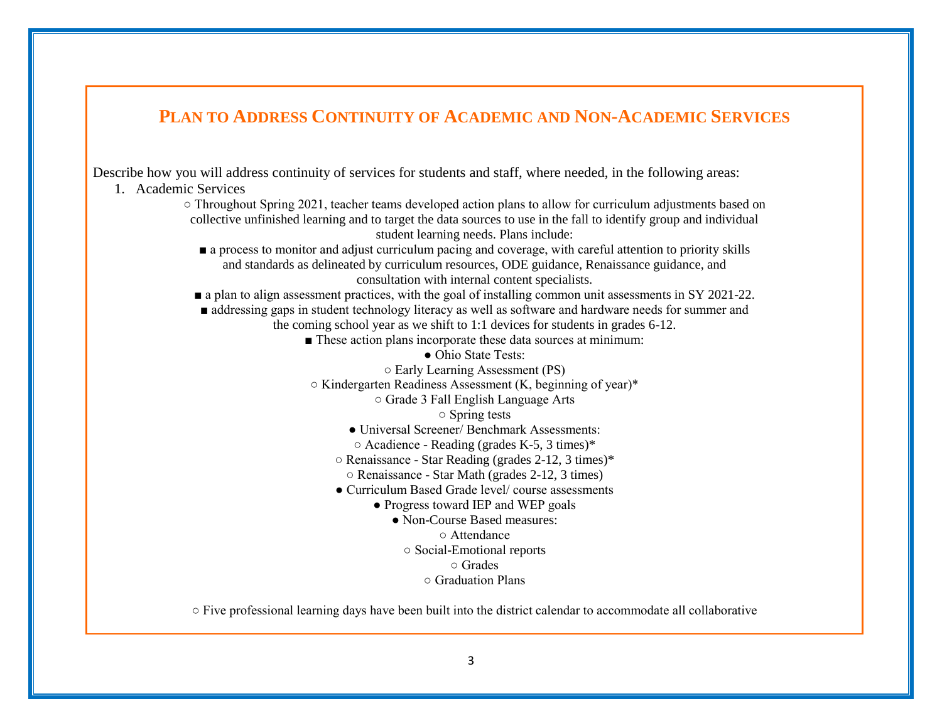# **PLAN TO ADDRESS CONTINUITY OF ACADEMIC AND NON-ACADEMIC SERVICES**

Describe how you will address continuity of services for students and staff, where needed, in the following areas:

- 1. Academic Services
	- Throughout Spring 2021, teacher teams developed action plans to allow for curriculum adjustments based on collective unfinished learning and to target the data sources to use in the fall to identify group and individual student learning needs. Plans include:
		- a process to monitor and adjust curriculum pacing and coverage, with careful attention to priority skills and standards as delineated by curriculum resources, ODE guidance, Renaissance guidance, and consultation with internal content specialists.
		- **a** plan to align assessment practices, with the goal of installing common unit assessments in SY 2021-22.
		- addressing gaps in student technology literacy as well as software and hardware needs for summer and the coming school year as we shift to 1:1 devices for students in grades 6-12.
			- These action plans incorporate these data sources at minimum:
				- Ohio State Tests:
				- Early Learning Assessment (PS)
			- Kindergarten Readiness Assessment (K, beginning of year)\*
				- Grade 3 Fall English Language Arts
					- Spring tests
				- Universal Screener/ Benchmark Assessments:
				- Acadience Reading (grades K-5, 3 times)\*
				- Renaissance Star Reading (grades 2-12, 3 times)\*
					- Renaissance Star Math (grades 2-12, 3 times)
				- Curriculum Based Grade level/ course assessments
					- Progress toward IEP and WEP goals
						- Non-Course Based measures:
							- Attendance
							- Social-Emotional reports
								- Grades
								- Graduation Plans

○ Five professional learning days have been built into the district calendar to accommodate all collaborative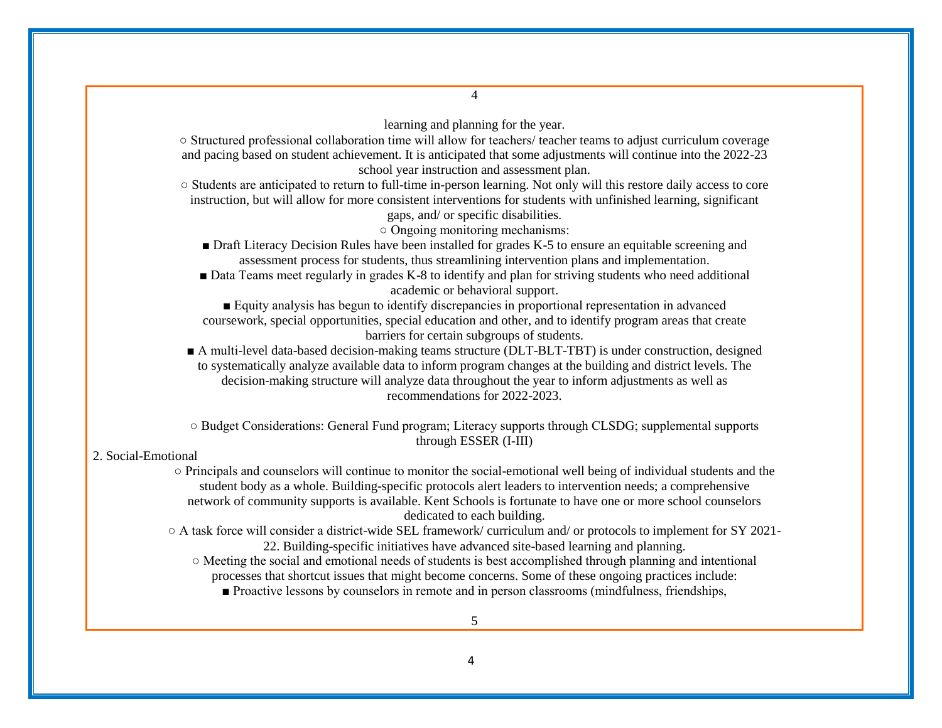learning and planning for the year. ○ Structured professional collaboration time will allow for teachers/ teacher teams to adjust curriculum coverage and pacing based on student achievement. It is anticipated that some adjustments will continue into the 2022-23 school year instruction and assessment plan. ○ Students are anticipated to return to full-time in-person learning. Not only will this restore daily access to core instruction, but will allow for more consistent interventions for students with unfinished learning, significant gaps, and/ or specific disabilities. ○ Ongoing monitoring mechanisms: ■ Draft Literacy Decision Rules have been installed for grades K-5 to ensure an equitable screening and assessment process for students, thus streamlining intervention plans and implementation. ■ Data Teams meet regularly in grades K-8 to identify and plan for striving students who need additional academic or behavioral support. ■ Equity analysis has begun to identify discrepancies in proportional representation in advanced coursework, special opportunities, special education and other, and to identify program areas that create barriers for certain subgroups of students. ■ A multi-level data-based decision-making teams structure (DLT-BLT-TBT) is under construction, designed to systematically analyze available data to inform program changes at the building and district levels. The decision-making structure will analyze data throughout the year to inform adjustments as well as recommendations for 2022-2023. ○ Budget Considerations: General Fund program; Literacy supports through CLSDG; supplemental supports through ESSER (I-III) 2. Social-Emotional ○ Principals and counselors will continue to monitor the social-emotional well being of individual students and the student body as a whole. Building-specific protocols alert leaders to intervention needs; a comprehensive network of community supports is available. Kent Schools is fortunate to have one or more school counselors dedicated to each building. ○ A task force will consider a district-wide SEL framework/ curriculum and/ or protocols to implement for SY 2021- 22. Building-specific initiatives have advanced site-based learning and planning. ○ Meeting the social and emotional needs of students is best accomplished through planning and intentional processes that shortcut issues that might become concerns. Some of these ongoing practices include: ■ Proactive lessons by counselors in remote and in person classrooms (mindfulness, friendships,

4

5

4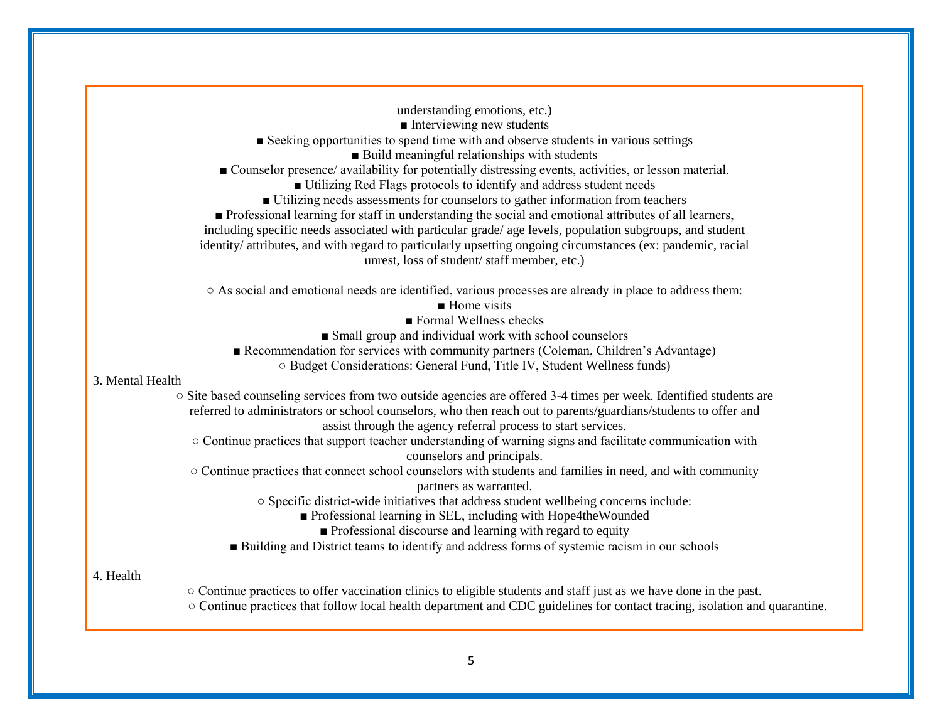|                  | understanding emotions, etc.)                                                                                                            |
|------------------|------------------------------------------------------------------------------------------------------------------------------------------|
|                  | $\blacksquare$ Interviewing new students                                                                                                 |
|                  | ■ Seeking opportunities to spend time with and observe students in various settings                                                      |
|                  | Build meaningful relationships with students                                                                                             |
|                  | ■ Counselor presence/ availability for potentially distressing events, activities, or lesson material.                                   |
|                  | Utilizing Red Flags protocols to identify and address student needs                                                                      |
|                  | Utilizing needs assessments for counselors to gather information from teachers                                                           |
|                  | ■ Professional learning for staff in understanding the social and emotional attributes of all learners,                                  |
|                  | including specific needs associated with particular grade/ age levels, population subgroups, and student                                 |
|                  | identity/ attributes, and with regard to particularly upsetting ongoing circumstances (ex: pandemic, racial                              |
|                  | unrest, loss of student/staff member, etc.)                                                                                              |
|                  | ○ As social and emotional needs are identified, various processes are already in place to address them:                                  |
|                  | $\blacksquare$ Home visits                                                                                                               |
|                  | Formal Wellness checks                                                                                                                   |
|                  | Small group and individual work with school counselors                                                                                   |
|                  | Recommendation for services with community partners (Coleman, Children's Advantage)                                                      |
|                  | O Budget Considerations: General Fund, Title IV, Student Wellness funds)                                                                 |
| 3. Mental Health |                                                                                                                                          |
|                  | ○ Site based counseling services from two outside agencies are offered 3-4 times per week. Identified students are                       |
|                  | referred to administrators or school counselors, who then reach out to parents/guardians/students to offer and                           |
|                  | assist through the agency referral process to start services.                                                                            |
|                  | O Continue practices that support teacher understanding of warning signs and facilitate communication with<br>counselors and principals. |
|                  | O Continue practices that connect school counselors with students and families in need, and with community                               |
|                  | partners as warranted.                                                                                                                   |
|                  | o Specific district-wide initiatives that address student wellbeing concerns include:                                                    |
|                  | Professional learning in SEL, including with Hope4theWounded                                                                             |
|                  | • Professional discourse and learning with regard to equity                                                                              |
|                  | Building and District teams to identify and address forms of systemic racism in our schools                                              |
| 4. Health        |                                                                                                                                          |
|                  | ○ Continue practices to offer vaccination clinics to eligible students and staff just as we have done in the past.                       |
|                  | ○ Continue practices that follow local health department and CDC guidelines for contact tracing, isolation and quarantine.               |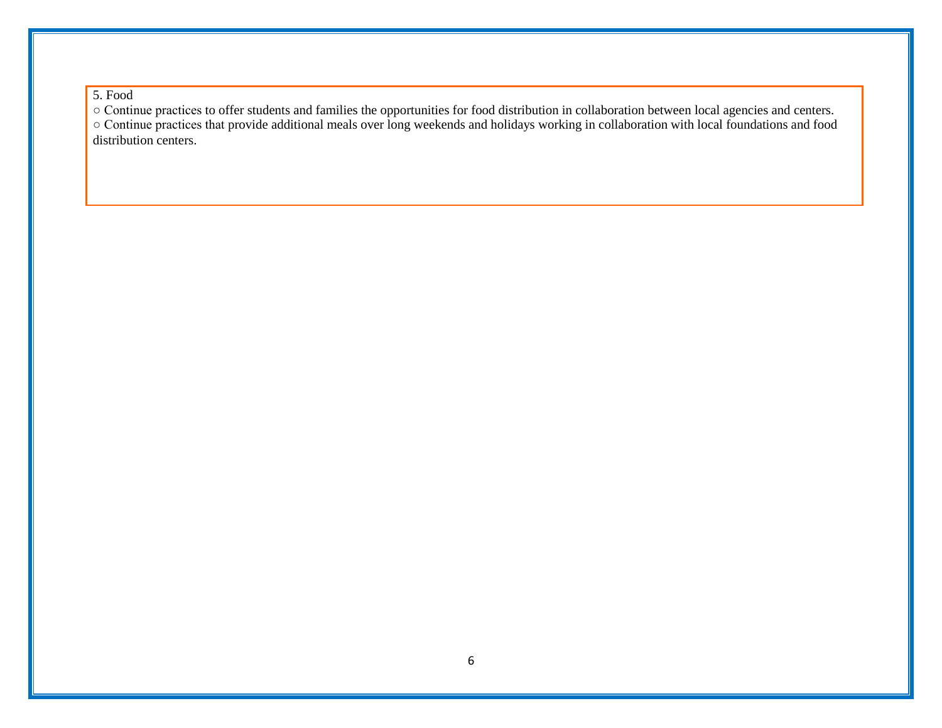5. Food

○ Continue practices to offer students and families the opportunities for food distribution in collaboration between local agencies and centers.

○ Continue practices that provide additional meals over long weekends and holidays working in collaboration with local foundations and food distribution centers.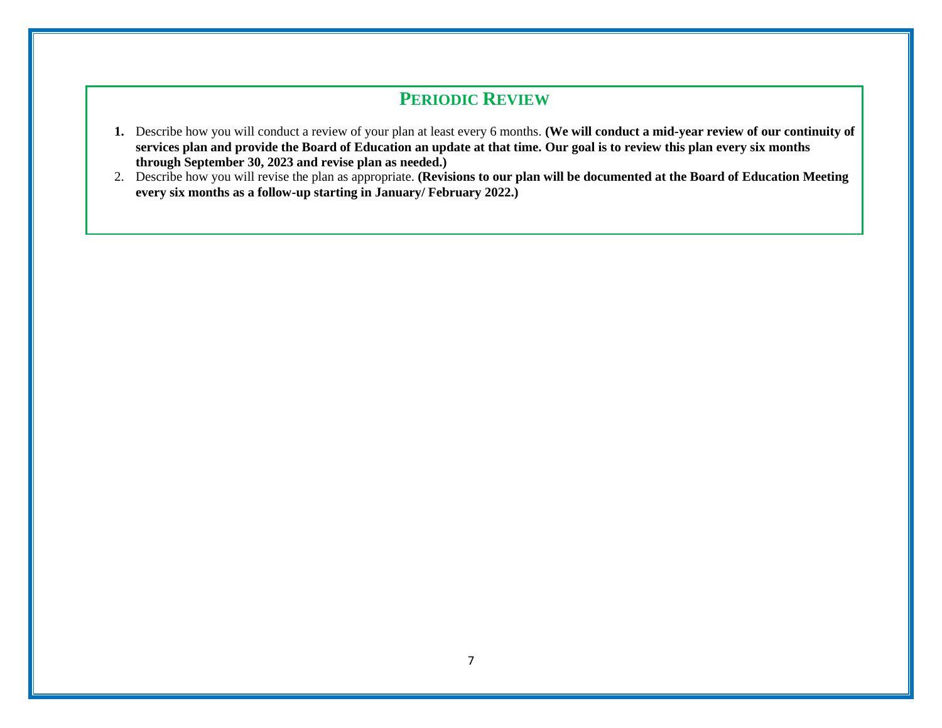## **PERIODIC REVIEW**

- **1.** Describe how you will conduct a review of your plan at least every 6 months. **(We will conduct a mid-year review of our continuity of services plan and provide the Board of Education an update at that time. Our goal is to review this plan every six months through September 30, 2023 and revise plan as needed.)**
- 2. Describe how you will revise the plan as appropriate. **(Revisions to our plan will be documented at the Board of Education Meeting every six months as a follow-up starting in January/ February 2022.)**